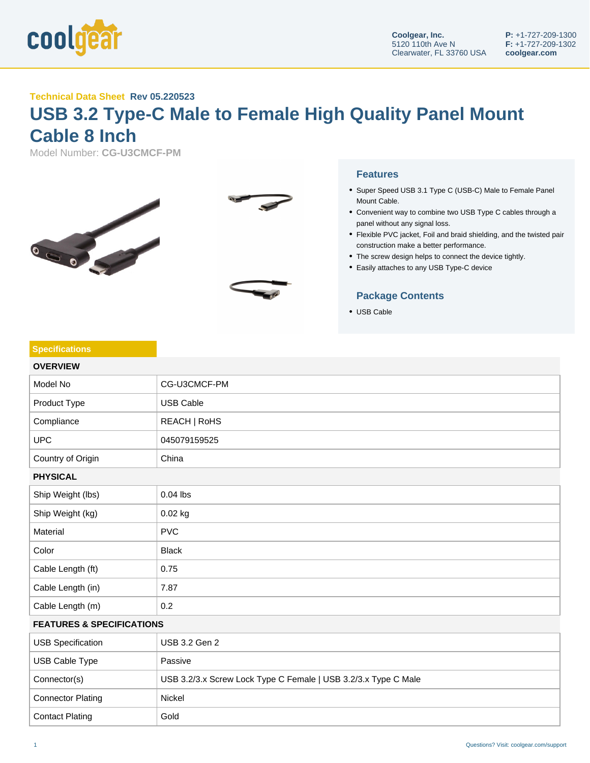

**Specifications**

## **Technical Data Sheet Rev 05.220523**

# **USB 3.2 Type-C Male to Female High Quality Panel Mount Cable 8 Inch**

Model Number: **CG-U3CMCF-PM**



#### **Features**

- Super Speed USB 3.1 Type C (USB-C) Male to Female Panel Mount Cable.
- Convenient way to combine two USB Type C cables through a panel without any signal loss.
- Flexible PVC jacket, Foil and braid shielding, and the twisted pair construction make a better performance.
- The screw design helps to connect the device tightly.
- Easily attaches to any USB Type-C device

### **Package Contents**

USB Cable

| <b>OVERVIEW</b>                      |                                                                |  |
|--------------------------------------|----------------------------------------------------------------|--|
| Model No                             | CG-U3CMCF-PM                                                   |  |
| Product Type                         | <b>USB Cable</b>                                               |  |
| Compliance                           | REACH   RoHS                                                   |  |
| <b>UPC</b>                           | 045079159525                                                   |  |
| Country of Origin                    | China                                                          |  |
| <b>PHYSICAL</b>                      |                                                                |  |
| Ship Weight (lbs)                    | $0.04$ lbs                                                     |  |
| Ship Weight (kg)                     | 0.02 kg                                                        |  |
| Material                             | <b>PVC</b>                                                     |  |
| Color                                | <b>Black</b>                                                   |  |
| Cable Length (ft)                    | 0.75                                                           |  |
| Cable Length (in)                    | 7.87                                                           |  |
| Cable Length (m)                     | 0.2                                                            |  |
| <b>FEATURES &amp; SPECIFICATIONS</b> |                                                                |  |
| <b>USB Specification</b>             | USB 3.2 Gen 2                                                  |  |
| USB Cable Type                       | Passive                                                        |  |
| Connector(s)                         | USB 3.2/3.x Screw Lock Type C Female   USB 3.2/3.x Type C Male |  |
| <b>Connector Plating</b>             | Nickel                                                         |  |

#### 1 Questions? Visit: coolgear.com/support

Contact Plating Gold